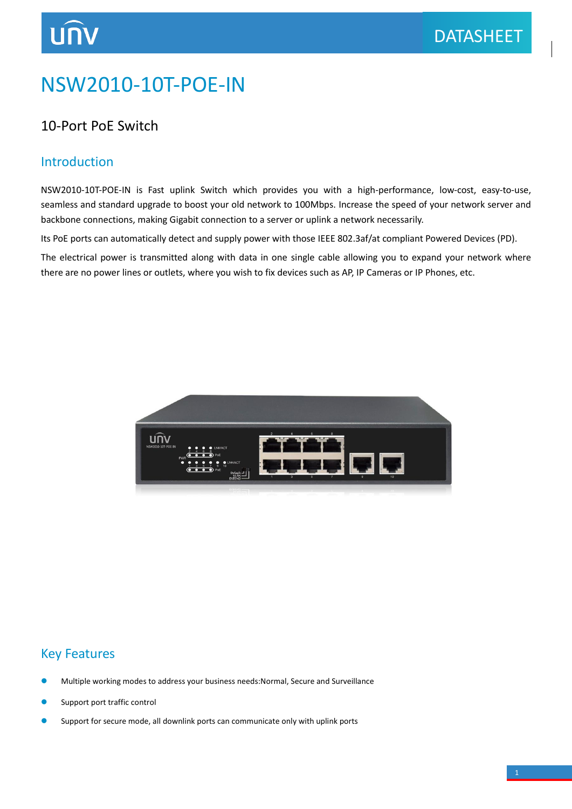## NSW2010-10T-POE-IN

#### 10-Port PoE Switch

#### Introduction

NSW2010-10T-POE-IN is Fast uplink Switch which provides you with a high-performance, low-cost, easy-to-use, seamless and standard upgrade to boost your old network to 100Mbps. Increase the speed of your network server and backbone connections, making Gigabit connection to a server or uplink a network necessarily.

Its PoE ports can automatically detect and supply power with those IEEE 802.3af/at compliant Powered Devices (PD).

The electrical power is transmitted along with data in one single cable allowing you to expand your network where there are no power lines or outlets, where you wish to fix devices such as AP, IP Cameras or IP Phones, etc.



#### Key Features

- Multiple working modes to address your business needs:Normal, Secure and Surveillance
- Support port traffic control
- Support for secure mode, all downlink ports can communicate only with uplink ports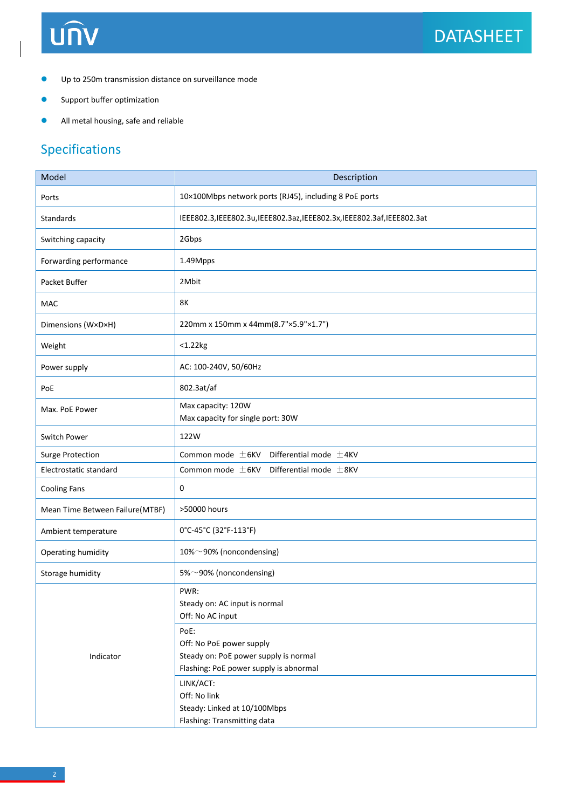# UNV

- Up to 250m transmission distance on surveillance mode
- **Support buffer optimization**
- All metal housing, safe and reliable

### Specifications

| Model                           | Description                                                                                                         |
|---------------------------------|---------------------------------------------------------------------------------------------------------------------|
| Ports                           | 10×100Mbps network ports (RJ45), including 8 PoE ports                                                              |
| Standards                       | IEEE802.3, IEEE802.3u, IEEE802.3az, IEEE802.3x, IEEE802.3af, IEEE802.3at                                            |
| Switching capacity              | 2Gbps                                                                                                               |
| Forwarding performance          | 1.49Mpps                                                                                                            |
| Packet Buffer                   | 2Mbit                                                                                                               |
| <b>MAC</b>                      | 8K                                                                                                                  |
| Dimensions (W×D×H)              | 220mm x 150mm x 44mm(8.7"×5.9"×1.7")                                                                                |
| Weight                          | $<$ 1.22 $kg$                                                                                                       |
| Power supply                    | AC: 100-240V, 50/60Hz                                                                                               |
| PoE                             | 802.3at/af                                                                                                          |
| Max. PoE Power                  | Max capacity: 120W<br>Max capacity for single port: 30W                                                             |
| Switch Power                    | 122W                                                                                                                |
| <b>Surge Protection</b>         | Common mode $\pm$ 6KV<br>Differential mode $\pm$ 4KV                                                                |
| Electrostatic standard          | Common mode $\pm$ 6KV<br>Differential mode $±8$ KV                                                                  |
| <b>Cooling Fans</b>             | 0                                                                                                                   |
| Mean Time Between Failure(MTBF) | >50000 hours                                                                                                        |
| Ambient temperature             | 0°C-45°C (32°F-113°F)                                                                                               |
| Operating humidity              | 10%~90% (noncondensing)                                                                                             |
| Storage humidity                | 5%~90% (noncondensing)                                                                                              |
| Indicator                       | PWR:<br>Steady on: AC input is normal<br>Off: No AC input                                                           |
|                                 | PoE:<br>Off: No PoE power supply<br>Steady on: PoE power supply is normal<br>Flashing: PoE power supply is abnormal |
|                                 | LINK/ACT:<br>Off: No link<br>Steady: Linked at 10/100Mbps<br>Flashing: Transmitting data                            |